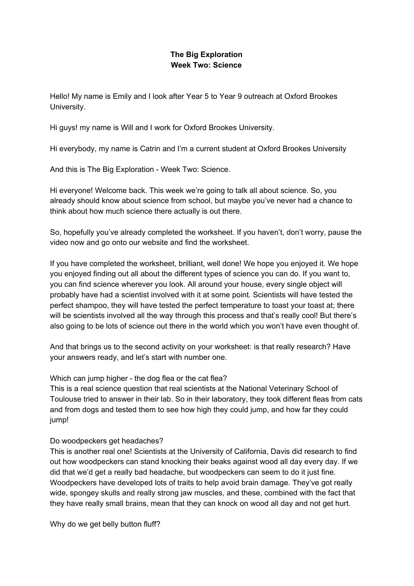## **The Big Exploration Week Two: Science**

Hello! My name is Emily and I look after Year 5 to Year 9 outreach at Oxford Brookes University.

Hi guys! my name is Will and I work for Oxford Brookes University.

Hi everybody, my name is Catrin and I'm a current student at Oxford Brookes University

And this is The Big Exploration - Week Two: Science.

Hi everyone! Welcome back. This week we're going to talk all about science. So, you already should know about science from school, but maybe you've never had a chance to think about how much science there actually is out there.

So, hopefully you've already completed the worksheet. If you haven't, don't worry, pause the video now and go onto our website and find the worksheet.

If you have completed the worksheet, brilliant, well done! We hope you enjoyed it. We hope you enjoyed finding out all about the different types of science you can do. If you want to, you can find science wherever you look. All around your house, every single object will probably have had a scientist involved with it at some point. Scientists will have tested the perfect shampoo, they will have tested the perfect temperature to toast your toast at; there will be scientists involved all the way through this process and that's really cool! But there's also going to be lots of science out there in the world which you won't have even thought of.

And that brings us to the second activity on your worksheet: is that really research? Have your answers ready, and let's start with number one.

Which can jump higher - the dog flea or the cat flea?

This is a real science question that real scientists at the National Veterinary School of Toulouse tried to answer in their lab. So in their laboratory, they took different fleas from cats and from dogs and tested them to see how high they could jump, and how far they could jump!

Do woodpeckers get headaches?

This is another real one! Scientists at the University of California, Davis did research to find out how woodpeckers can stand knocking their beaks against wood all day every day. If we did that we'd get a really bad headache, but woodpeckers can seem to do it just fine. Woodpeckers have developed lots of traits to help avoid brain damage. They've got really wide, spongey skulls and really strong jaw muscles, and these, combined with the fact that they have really small brains, mean that they can knock on wood all day and not get hurt.

Why do we get belly button fluff?